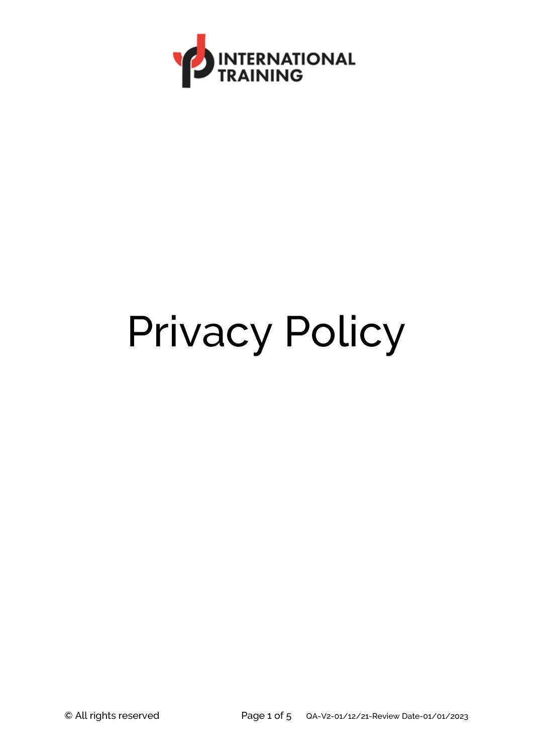

# Privacy Policy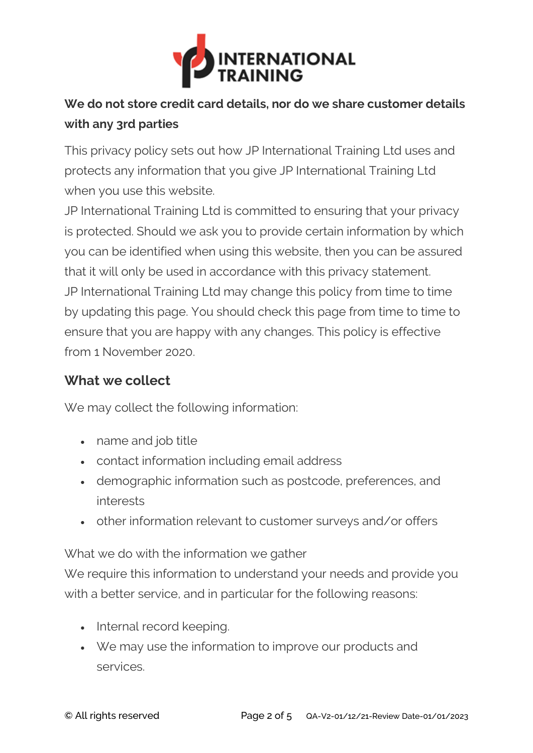

# **We do not store credit card details, nor do we share customer details with any 3rd parties**

This privacy policy sets out how JP International Training Ltd uses and protects any information that you give JP International Training Ltd when you use this website.

JP International Training Ltd is committed to ensuring that your privacy is protected. Should we ask you to provide certain information by which you can be identified when using this website, then you can be assured that it will only be used in accordance with this privacy statement. JP International Training Ltd may change this policy from time to time by updating this page. You should check this page from time to time to ensure that you are happy with any changes. This policy is effective from 1 November 2020.

### **What we collect**

We may collect the following information:

- name and job title
- contact information including email address
- demographic information such as postcode, preferences, and interests
- other information relevant to customer surveys and/or offers

What we do with the information we gather

We require this information to understand your needs and provide you with a better service, and in particular for the following reasons:

- Internal record keeping.
- We may use the information to improve our products and services.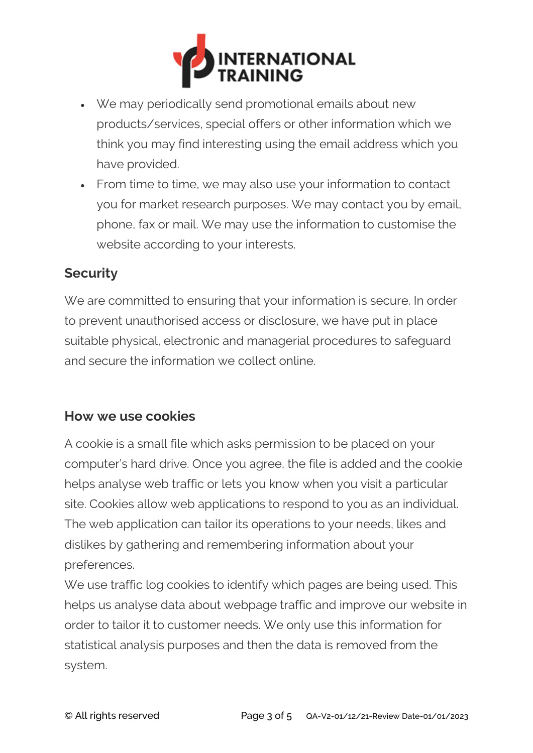

- We may periodically send promotional emails about new products/services, special offers or other information which we think you may find interesting using the email address which you have provided.
- From time to time, we may also use your information to contact you for market research purposes. We may contact you by email, phone, fax or mail. We may use the information to customise the website according to your interests.

#### **Security**

We are committed to ensuring that your information is secure. In order to prevent unauthorised access or disclosure, we have put in place suitable physical, electronic and managerial procedures to safeguard and secure the information we collect online.

#### **How we use cookies**

A cookie is a small file which asks permission to be placed on your computer's hard drive. Once you agree, the file is added and the cookie helps analyse web traffic or lets you know when you visit a particular site. Cookies allow web applications to respond to you as an individual. The web application can tailor its operations to your needs, likes and dislikes by gathering and remembering information about your preferences.

We use traffic log cookies to identify which pages are being used. This helps us analyse data about webpage traffic and improve our website in order to tailor it to customer needs. We only use this information for statistical analysis purposes and then the data is removed from the system.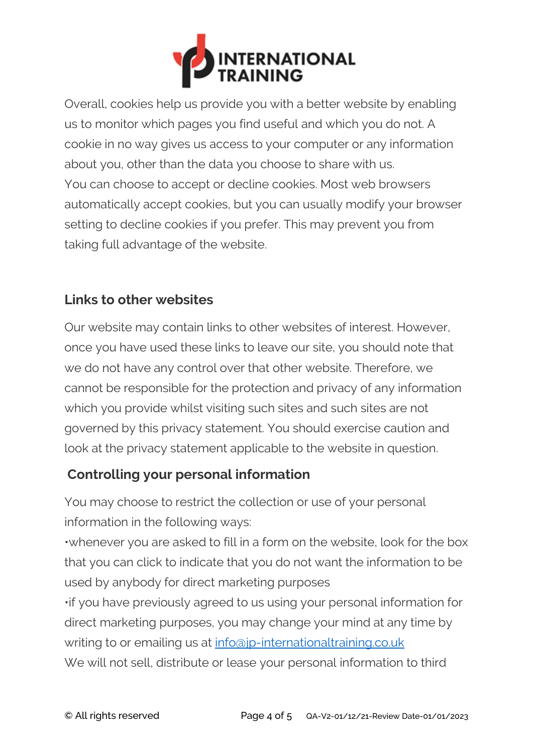

Overall, cookies help us provide you with a better website by enabling us to monitor which pages you find useful and which you do not. A cookie in no way gives us access to your computer or any information about you, other than the data you choose to share with us. You can choose to accept or decline cookies. Most web browsers automatically accept cookies, but you can usually modify your browser setting to decline cookies if you prefer. This may prevent you from taking full advantage of the website.

## **Links to other websites**

Our website may contain links to other websites of interest. However, once you have used these links to leave our site, you should note that we do not have any control over that other website. Therefore, we cannot be responsible for the protection and privacy of any information which you provide whilst visiting such sites and such sites are not governed by this privacy statement. You should exercise caution and look at the privacy statement applicable to the website in question.

# **Controlling your personal information**

You may choose to restrict the collection or use of your personal information in the following ways:

•whenever you are asked to fill in a form on the website, look for the box that you can click to indicate that you do not want the information to be used by anybody for direct marketing purposes

•if you have previously agreed to us using your personal information for direct marketing purposes, you may change your mind at any time by writing to or emailing us at [info@jp-internationaltraining.co.uk](mailto:info@jp-internationaltraining.co.uk) We will not sell, distribute or lease your personal information to third